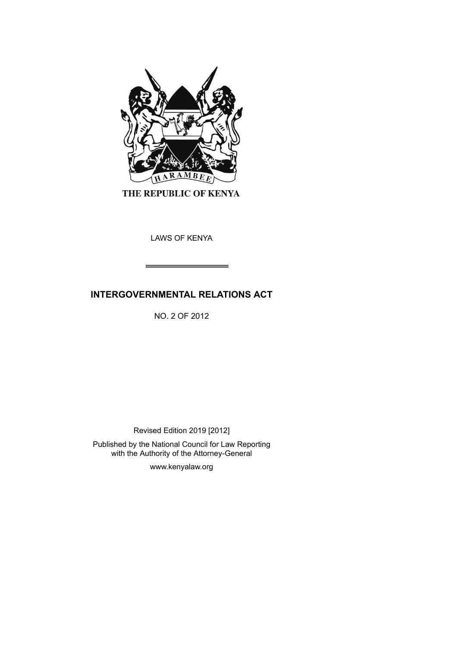

THE REPUBLIC OF KENYA

LAWS OF KENYA

# **INTERGOVERNMENTAL RELATIONS ACT**

NO. 2 OF 2012

Revised Edition 2019 [2012]

Published by the National Council for Law Reporting with the Authority of the Attorney-General

www.kenyalaw.org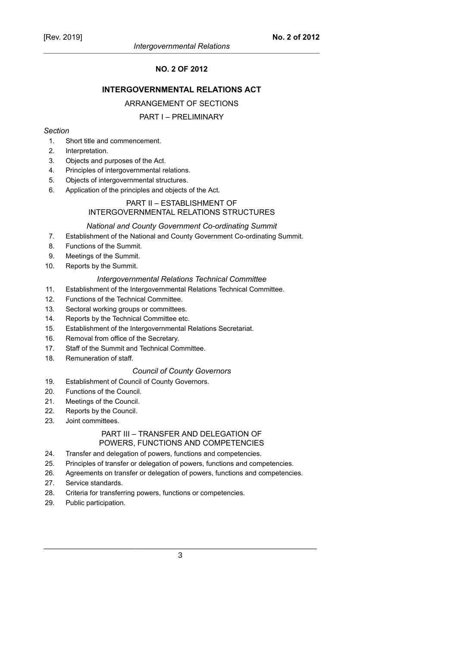# **NO. 2 OF 2012**

### **INTERGOVERNMENTAL RELATIONS ACT**

#### ARRANGEMENT OF SECTIONS

### PART I – PRELIMINARY

#### *Section*

- 1. Short title and commencement.
- 2. Interpretation.
- 3. Objects and purposes of the Act.
- 4. Principles of intergovernmental relations.
- 5. Objects of intergovernmental structures.
- 6. Application of the principles and objects of the Act.

# PART II – ESTABLISHMENT OF INTERGOVERNMENTAL RELATIONS STRUCTURES

#### *National and County Government Co-ordinating Summit*

- 7. Establishment of the National and County Government Co-ordinating Summit.
- 8. Functions of the Summit.
- 9. Meetings of the Summit.
- 10. Reports by the Summit.

#### *Intergovernmental Relations Technical Committee*

- 11. Establishment of the Intergovernmental Relations Technical Committee.
- 12. Functions of the Technical Committee.
- 13. Sectoral working groups or committees.
- 14. Reports by the Technical Committee etc.
- 15. Establishment of the Intergovernmental Relations Secretariat.
- 16. Removal from office of the Secretary.
- 17. Staff of the Summit and Technical Committee.
- 18. Remuneration of staff.

#### *Council of County Governors*

- 19. Establishment of Council of County Governors.
- 20. Functions of the Council.
- 21. Meetings of the Council.
- 22. Reports by the Council.
- 23. Joint committees.

# PART III – TRANSFER AND DELEGATION OF POWERS, FUNCTIONS AND COMPETENCIES

- 24. Transfer and delegation of powers, functions and competencies.
- 25. Principles of transfer or delegation of powers, functions and competencies.
- 26. Agreements on transfer or delegation of powers, functions and competencies.
- 27. Service standards.
- 28. Criteria for transferring powers, functions or competencies.
- 29. Public participation.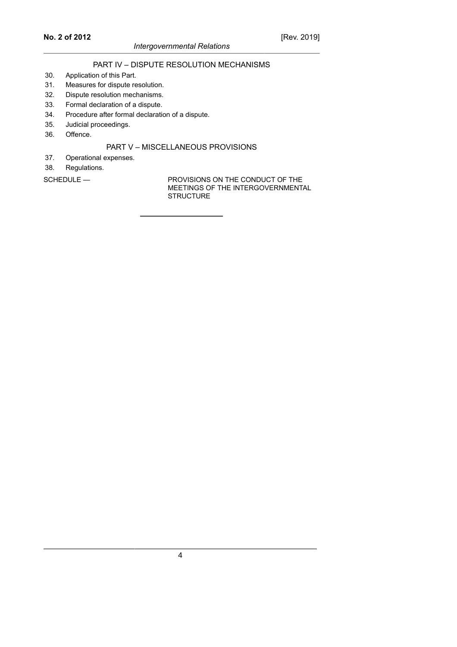# PART IV – DISPUTE RESOLUTION MECHANISMS

- 30. Application of this Part.
- 31. Measures for dispute resolution.
- 32. Dispute resolution mechanisms.
- 33. Formal declaration of a dispute.
- 34. Procedure after formal declaration of a dispute.
- 35. Judicial proceedings.
- 36. Offence.

#### PART V – MISCELLANEOUS PROVISIONS

- 37. Operational expenses.
- 38. Regulations.

SCHEDULE — PROVISIONS ON THE CONDUCT OF THE MEETINGS OF THE INTERGOVERNMENTAL **STRUCTURE**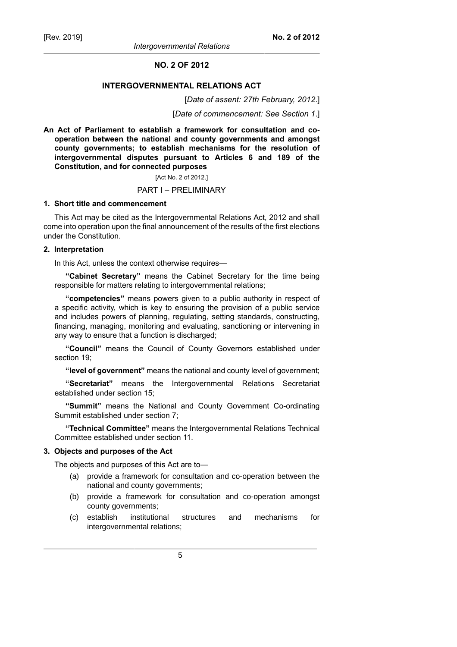*Intergovernmental Relations*

#### **NO. 2 OF 2012**

#### **INTERGOVERNMENTAL RELATIONS ACT**

[*Date of assent: 27th February, 2012*.]

[*Date of commencement: See Section 1*.]

**An Act of Parliament to establish a framework for consultation and cooperation between the national and county governments and amongst county governments; to establish mechanisms for the resolution of intergovernmental disputes pursuant to Articles 6 and 189 of the Constitution, and for connected purposes**

[Act No. 2 of 2012.]

#### PART I – PRELIMINARY

#### **1. Short title and commencement**

This Act may be cited as the Intergovernmental Relations Act, 2012 and shall come into operation upon the final announcement of the results of the first elections under the Constitution.

#### **2. Interpretation**

In this Act, unless the context otherwise requires—

**"Cabinet Secretary"** means the Cabinet Secretary for the time being responsible for matters relating to intergovernmental relations;

**"competencies"** means powers given to a public authority in respect of a specific activity, which is key to ensuring the provision of a public service and includes powers of planning, regulating, setting standards, constructing, financing, managing, monitoring and evaluating, sanctioning or intervening in any way to ensure that a function is discharged;

**"Council"** means the Council of County Governors established under section 19;

**"level of government"** means the national and county level of government;

**"Secretariat"** means the Intergovernmental Relations Secretariat established under section 15;

**"Summit"** means the National and County Government Co-ordinating Summit established under section 7;

**"Technical Committee"** means the Intergovernmental Relations Technical Committee established under section 11.

#### **3. Objects and purposes of the Act**

The objects and purposes of this Act are to—

- (a) provide a framework for consultation and co-operation between the national and county governments;
- (b) provide a framework for consultation and co-operation amongst county governments;
- (c) establish institutional structures and mechanisms for intergovernmental relations;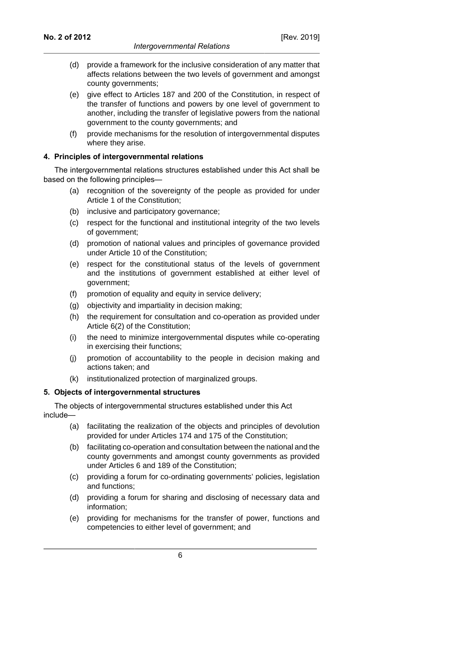- (d) provide a framework for the inclusive consideration of any matter that affects relations between the two levels of government and amongst county governments;
- (e) give effect to Articles 187 and 200 of the Constitution, in respect of the transfer of functions and powers by one level of government to another, including the transfer of legislative powers from the national government to the county governments; and
- (f) provide mechanisms for the resolution of intergovernmental disputes where they arise.

#### **4. Principles of intergovernmental relations**

The intergovernmental relations structures established under this Act shall be based on the following principles—

- (a) recognition of the sovereignty of the people as provided for under Article 1 of the Constitution;
- (b) inclusive and participatory governance;
- (c) respect for the functional and institutional integrity of the two levels of government;
- (d) promotion of national values and principles of governance provided under Article 10 of the Constitution;
- (e) respect for the constitutional status of the levels of government and the institutions of government established at either level of government;
- (f) promotion of equality and equity in service delivery;
- (g) objectivity and impartiality in decision making;
- (h) the requirement for consultation and co-operation as provided under Article 6(2) of the Constitution;
- (i) the need to minimize intergovernmental disputes while co-operating in exercising their functions;
- (j) promotion of accountability to the people in decision making and actions taken; and
- (k) institutionalized protection of marginalized groups.

### **5. Objects of intergovernmental structures**

The objects of intergovernmental structures established under this Act include—

- (a) facilitating the realization of the objects and principles of devolution provided for under Articles 174 and 175 of the Constitution;
- (b) facilitating co-operation and consultation between the national and the county governments and amongst county governments as provided under Articles 6 and 189 of the Constitution;
- (c) providing a forum for co-ordinating governments' policies, legislation and functions;
- (d) providing a forum for sharing and disclosing of necessary data and information;
- (e) providing for mechanisms for the transfer of power, functions and competencies to either level of government; and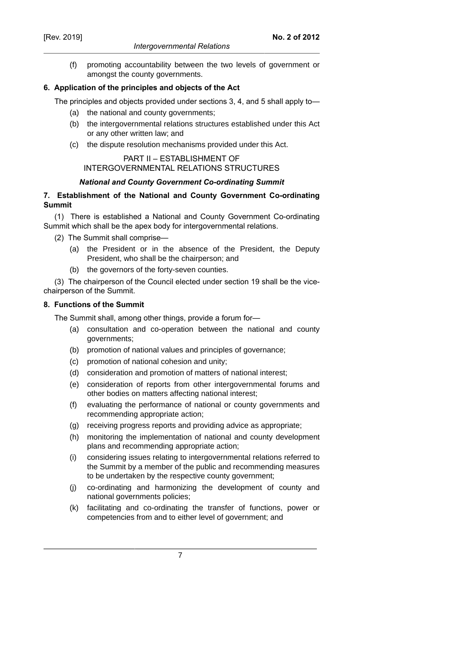(f) promoting accountability between the two levels of government or amongst the county governments.

### **6. Application of the principles and objects of the Act**

The principles and objects provided under sections 3, 4, and 5 shall apply to—

- (a) the national and county governments;
- (b) the intergovernmental relations structures established under this Act or any other written law; and
- (c) the dispute resolution mechanisms provided under this Act.

# PART II – ESTABLISHMENT OF INTERGOVERNMENTAL RELATIONS STRUCTURES

### *National and County Government Co-ordinating Summit*

### **7. Establishment of the National and County Government Co-ordinating Summit**

(1) There is established a National and County Government Co-ordinating Summit which shall be the apex body for intergovernmental relations.

(2) The Summit shall comprise—

- (a) the President or in the absence of the President, the Deputy President, who shall be the chairperson; and
- (b) the governors of the forty-seven counties.

(3) The chairperson of the Council elected under section 19 shall be the vicechairperson of the Summit.

### **8. Functions of the Summit**

The Summit shall, among other things, provide a forum for—

- (a) consultation and co-operation between the national and county governments;
- (b) promotion of national values and principles of governance;
- (c) promotion of national cohesion and unity;
- (d) consideration and promotion of matters of national interest;
- (e) consideration of reports from other intergovernmental forums and other bodies on matters affecting national interest;
- (f) evaluating the performance of national or county governments and recommending appropriate action;
- (g) receiving progress reports and providing advice as appropriate;
- (h) monitoring the implementation of national and county development plans and recommending appropriate action;
- (i) considering issues relating to intergovernmental relations referred to the Summit by a member of the public and recommending measures to be undertaken by the respective county government;
- (j) co-ordinating and harmonizing the development of county and national governments policies;
- (k) facilitating and co-ordinating the transfer of functions, power or competencies from and to either level of government; and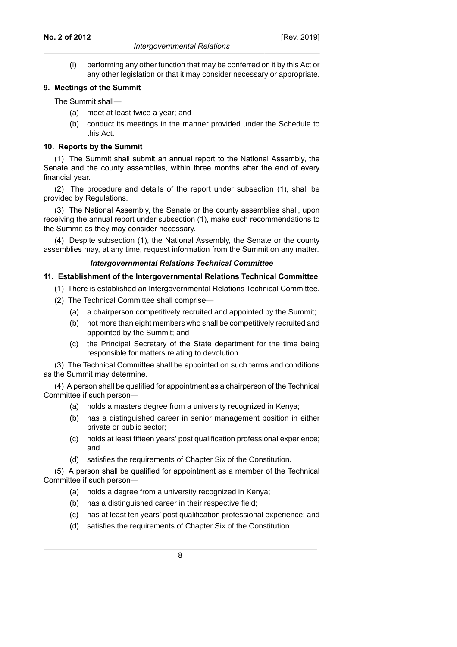#### *Intergovernmental Relations*

(l) performing any other function that may be conferred on it by this Act or any other legislation or that it may consider necessary or appropriate.

### **9. Meetings of the Summit**

The Summit shall—

- (a) meet at least twice a year; and
- (b) conduct its meetings in the manner provided under the Schedule to this Act.

### **10. Reports by the Summit**

(1) The Summit shall submit an annual report to the National Assembly, the Senate and the county assemblies, within three months after the end of every financial year.

(2) The procedure and details of the report under subsection (1), shall be provided by Regulations.

(3) The National Assembly, the Senate or the county assemblies shall, upon receiving the annual report under subsection (1), make such recommendations to the Summit as they may consider necessary.

(4) Despite subsection (1), the National Assembly, the Senate or the county assemblies may, at any time, request information from the Summit on any matter.

#### *Intergovernmental Relations Technical Committee*

### **11. Establishment of the Intergovernmental Relations Technical Committee**

- (1) There is established an Intergovernmental Relations Technical Committee.
- (2) The Technical Committee shall comprise—
	- (a) a chairperson competitively recruited and appointed by the Summit;
	- (b) not more than eight members who shall be competitively recruited and appointed by the Summit; and
	- (c) the Principal Secretary of the State department for the time being responsible for matters relating to devolution.

(3) The Technical Committee shall be appointed on such terms and conditions as the Summit may determine.

(4) A person shall be qualified for appointment as a chairperson of the Technical Committee if such person—

- (a) holds a masters degree from a university recognized in Kenya;
- (b) has a distinguished career in senior management position in either private or public sector;
- (c) holds at least fifteen years' post qualification professional experience; and
- (d) satisfies the requirements of Chapter Six of the Constitution.

(5) A person shall be qualified for appointment as a member of the Technical Committee if such person—

- (a) holds a degree from a university recognized in Kenya;
- (b) has a distinguished career in their respective field;
- (c) has at least ten years' post qualification professional experience; and
- (d) satisfies the requirements of Chapter Six of the Constitution.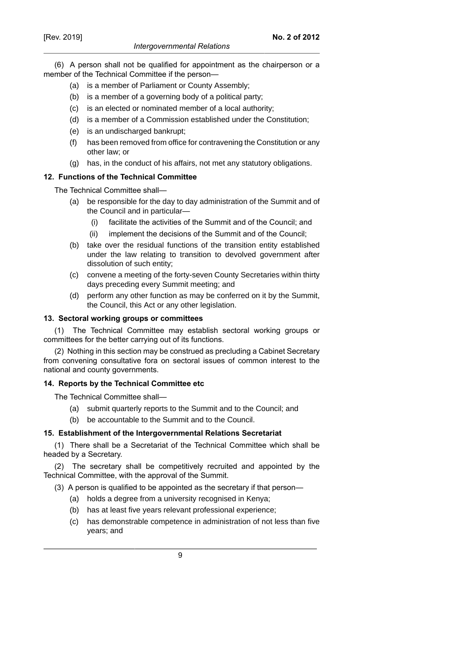(6) A person shall not be qualified for appointment as the chairperson or a member of the Technical Committee if the person—

- (a) is a member of Parliament or County Assembly;
- (b) is a member of a governing body of a political party;
- (c) is an elected or nominated member of a local authority;
- (d) is a member of a Commission established under the Constitution;
- (e) is an undischarged bankrupt;
- (f) has been removed from office for contravening the Constitution or any other law; or
- (g) has, in the conduct of his affairs, not met any statutory obligations.

#### **12. Functions of the Technical Committee**

The Technical Committee shall—

- (a) be responsible for the day to day administration of the Summit and of the Council and in particular—
	- (i) facilitate the activities of the Summit and of the Council; and
	- (ii) implement the decisions of the Summit and of the Council;
- (b) take over the residual functions of the transition entity established under the law relating to transition to devolved government after dissolution of such entity;
- (c) convene a meeting of the forty-seven County Secretaries within thirty days preceding every Summit meeting; and
- (d) perform any other function as may be conferred on it by the Summit, the Council, this Act or any other legislation.

#### **13. Sectoral working groups or committees**

(1) The Technical Committee may establish sectoral working groups or committees for the better carrying out of its functions.

(2) Nothing in this section may be construed as precluding a Cabinet Secretary from convening consultative fora on sectoral issues of common interest to the national and county governments.

### **14. Reports by the Technical Committee etc**

The Technical Committee shall—

- (a) submit quarterly reports to the Summit and to the Council; and
- (b) be accountable to the Summit and to the Council.

### **15. Establishment of the Intergovernmental Relations Secretariat**

(1) There shall be a Secretariat of the Technical Committee which shall be headed by a Secretary.

(2) The secretary shall be competitively recruited and appointed by the Technical Committee, with the approval of the Summit.

(3) A person is qualified to be appointed as the secretary if that person—

- (a) holds a degree from a university recognised in Kenya;
- (b) has at least five years relevant professional experience;
- (c) has demonstrable competence in administration of not less than five years; and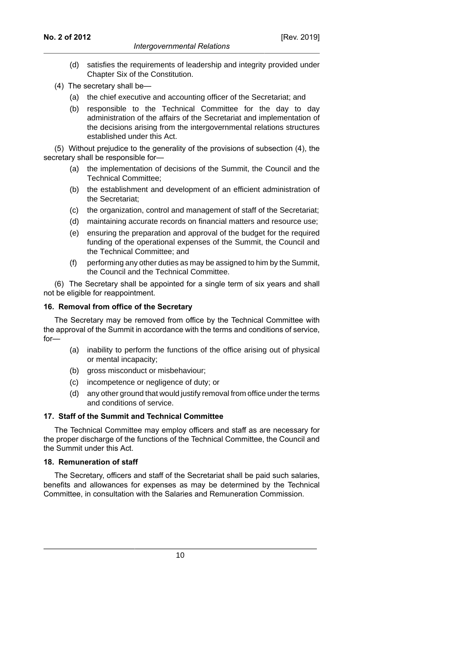- (d) satisfies the requirements of leadership and integrity provided under Chapter Six of the Constitution.
- (4) The secretary shall be—
	- (a) the chief executive and accounting officer of the Secretariat; and
	- (b) responsible to the Technical Committee for the day to day administration of the affairs of the Secretariat and implementation of the decisions arising from the intergovernmental relations structures established under this Act.

(5) Without prejudice to the generality of the provisions of subsection (4), the secretary shall be responsible for—

- (a) the implementation of decisions of the Summit, the Council and the Technical Committee;
- (b) the establishment and development of an efficient administration of the Secretariat;
- (c) the organization, control and management of staff of the Secretariat;
- (d) maintaining accurate records on financial matters and resource use;
- (e) ensuring the preparation and approval of the budget for the required funding of the operational expenses of the Summit, the Council and the Technical Committee; and
- (f) performing any other duties as may be assigned to him by the Summit, the Council and the Technical Committee.

(6) The Secretary shall be appointed for a single term of six years and shall not be eligible for reappointment.

#### **16. Removal from office of the Secretary**

The Secretary may be removed from office by the Technical Committee with the approval of the Summit in accordance with the terms and conditions of service, for—

- (a) inability to perform the functions of the office arising out of physical or mental incapacity;
- (b) gross misconduct or misbehaviour;
- (c) incompetence or negligence of duty; or
- (d) any other ground that would justify removal from office under the terms and conditions of service.

#### **17. Staff of the Summit and Technical Committee**

The Technical Committee may employ officers and staff as are necessary for the proper discharge of the functions of the Technical Committee, the Council and the Summit under this Act.

#### **18. Remuneration of staff**

The Secretary, officers and staff of the Secretariat shall be paid such salaries, benefits and allowances for expenses as may be determined by the Technical Committee, in consultation with the Salaries and Remuneration Commission.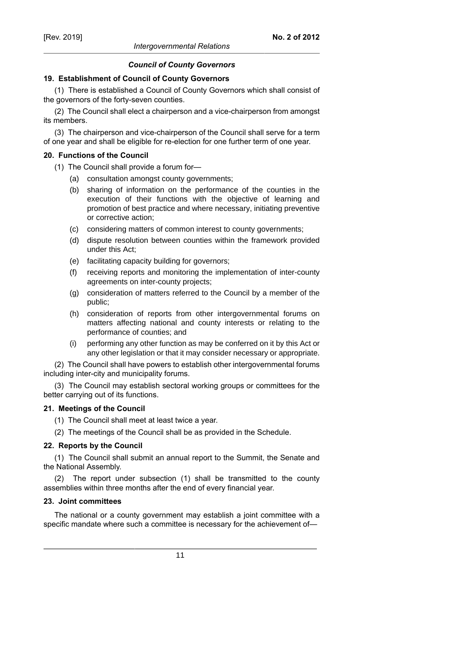#### *Council of County Governors*

#### **19. Establishment of Council of County Governors**

(1) There is established a Council of County Governors which shall consist of the governors of the forty-seven counties.

(2) The Council shall elect a chairperson and a vice-chairperson from amongst its members.

(3) The chairperson and vice-chairperson of the Council shall serve for a term of one year and shall be eligible for re-election for one further term of one year.

#### **20. Functions of the Council**

(1) The Council shall provide a forum for—

- (a) consultation amongst county governments;
- (b) sharing of information on the performance of the counties in the execution of their functions with the objective of learning and promotion of best practice and where necessary, initiating preventive or corrective action;
- (c) considering matters of common interest to county governments;
- (d) dispute resolution between counties within the framework provided under this Act;
- (e) facilitating capacity building for governors;
- (f) receiving reports and monitoring the implementation of inter-county agreements on inter-county projects;
- (g) consideration of matters referred to the Council by a member of the public;
- (h) consideration of reports from other intergovernmental forums on matters affecting national and county interests or relating to the performance of counties; and
- (i) performing any other function as may be conferred on it by this Act or any other legislation or that it may consider necessary or appropriate.

(2) The Council shall have powers to establish other intergovernmental forums including inter-city and municipality forums.

(3) The Council may establish sectoral working groups or committees for the better carrying out of its functions.

### **21. Meetings of the Council**

- (1) The Council shall meet at least twice a year.
- (2) The meetings of the Council shall be as provided in the Schedule.

### **22. Reports by the Council**

(1) The Council shall submit an annual report to the Summit, the Senate and the National Assembly.

(2) The report under subsection (1) shall be transmitted to the county assemblies within three months after the end of every financial year.

#### **23. Joint committees**

The national or a county government may establish a joint committee with a specific mandate where such a committee is necessary for the achievement of—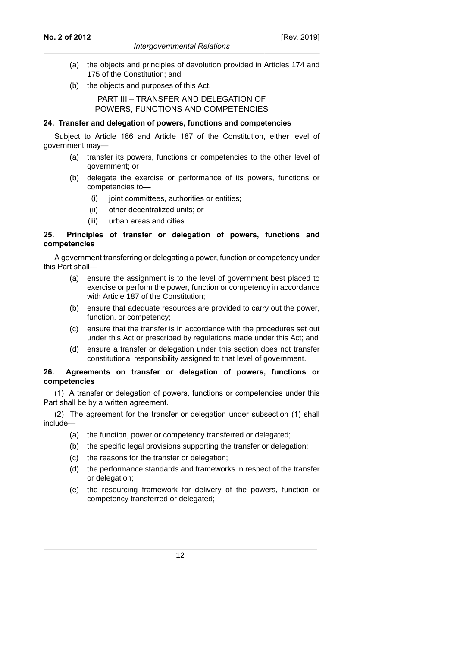- (a) the objects and principles of devolution provided in Articles 174 and 175 of the Constitution; and
- (b) the objects and purposes of this Act.

# PART III – TRANSFER AND DELEGATION OF POWERS, FUNCTIONS AND COMPETENCIES

### **24. Transfer and delegation of powers, functions and competencies**

Subject to Article 186 and Article 187 of the Constitution, either level of government may—

- (a) transfer its powers, functions or competencies to the other level of government; or
- (b) delegate the exercise or performance of its powers, functions or competencies to—
	- (i) joint committees, authorities or entities;
	- (ii) other decentralized units; or
	- (iii) urban areas and cities.

# **25. Principles of transfer or delegation of powers, functions and competencies**

A government transferring or delegating a power, function or competency under this Part shall—

- (a) ensure the assignment is to the level of government best placed to exercise or perform the power, function or competency in accordance with Article 187 of the Constitution;
- (b) ensure that adequate resources are provided to carry out the power, function, or competency;
- (c) ensure that the transfer is in accordance with the procedures set out under this Act or prescribed by regulations made under this Act; and
- (d) ensure a transfer or delegation under this section does not transfer constitutional responsibility assigned to that level of government.

### **26. Agreements on transfer or delegation of powers, functions or competencies**

(1) A transfer or delegation of powers, functions or competencies under this Part shall be by a written agreement.

(2) The agreement for the transfer or delegation under subsection (1) shall include—

- (a) the function, power or competency transferred or delegated;
- (b) the specific legal provisions supporting the transfer or delegation;
- (c) the reasons for the transfer or delegation;
- (d) the performance standards and frameworks in respect of the transfer or delegation;
- (e) the resourcing framework for delivery of the powers, function or competency transferred or delegated;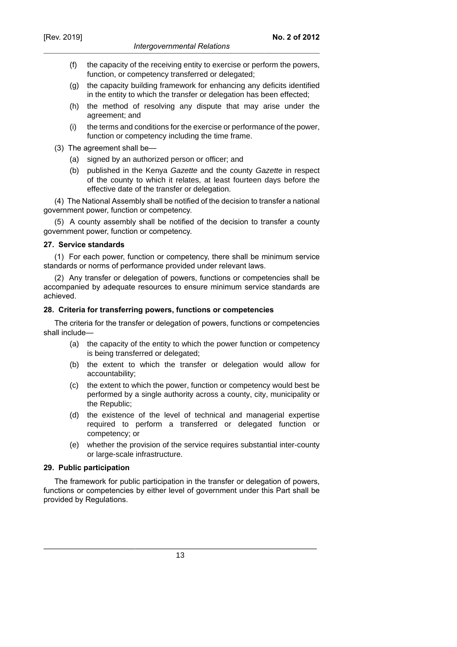- (f) the capacity of the receiving entity to exercise or perform the powers, function, or competency transferred or delegated;
- (g) the capacity building framework for enhancing any deficits identified in the entity to which the transfer or delegation has been effected;
- (h) the method of resolving any dispute that may arise under the agreement; and
- (i) the terms and conditions for the exercise or performance of the power, function or competency including the time frame.
- (3) The agreement shall be—
	- (a) signed by an authorized person or officer; and
	- (b) published in the Kenya Gazette and the county Gazette in respect of the county to which it relates, at least fourteen days before the effective date of the transfer or delegation.

(4) The National Assembly shall be notified of the decision to transfer a national government power, function or competency.

(5) A county assembly shall be notified of the decision to transfer a county government power, function or competency.

### **27. Service standards**

(1) For each power, function or competency, there shall be minimum service standards or norms of performance provided under relevant laws.

(2) Any transfer or delegation of powers, functions or competencies shall be accompanied by adequate resources to ensure minimum service standards are achieved.

#### **28. Criteria for transferring powers, functions or competencies**

The criteria for the transfer or delegation of powers, functions or competencies shall include—

- (a) the capacity of the entity to which the power function or competency is being transferred or delegated;
- (b) the extent to which the transfer or delegation would allow for accountability;
- (c) the extent to which the power, function or competency would best be performed by a single authority across a county, city, municipality or the Republic;
- (d) the existence of the level of technical and managerial expertise required to perform a transferred or delegated function or competency; or
- (e) whether the provision of the service requires substantial inter-county or large-scale infrastructure.

### **29. Public participation**

The framework for public participation in the transfer or delegation of powers, functions or competencies by either level of government under this Part shall be provided by Regulations.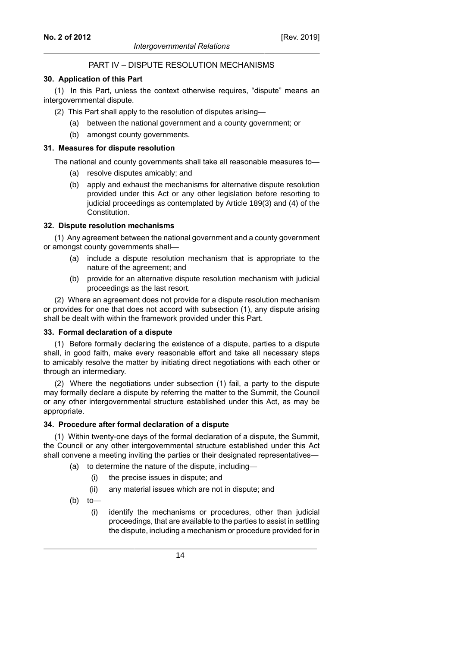### PART IV – DISPUTE RESOLUTION MECHANISMS

#### **30. Application of this Part**

(1) In this Part, unless the context otherwise requires, "dispute" means an intergovernmental dispute.

(2) This Part shall apply to the resolution of disputes arising—

- (a) between the national government and a county government; or
- (b) amongst county governments.

#### **31. Measures for dispute resolution**

The national and county governments shall take all reasonable measures to—

- (a) resolve disputes amicably; and
- (b) apply and exhaust the mechanisms for alternative dispute resolution provided under this Act or any other legislation before resorting to judicial proceedings as contemplated by Article 189(3) and (4) of the Constitution.

#### **32. Dispute resolution mechanisms**

(1) Any agreement between the national government and a county government or amongst county governments shall—

- (a) include a dispute resolution mechanism that is appropriate to the nature of the agreement; and
- (b) provide for an alternative dispute resolution mechanism with judicial proceedings as the last resort.

(2) Where an agreement does not provide for a dispute resolution mechanism or provides for one that does not accord with subsection (1), any dispute arising shall be dealt with within the framework provided under this Part.

#### **33. Formal declaration of a dispute**

(1) Before formally declaring the existence of a dispute, parties to a dispute shall, in good faith, make every reasonable effort and take all necessary steps to amicably resolve the matter by initiating direct negotiations with each other or through an intermediary.

(2) Where the negotiations under subsection (1) fail, a party to the dispute may formally declare a dispute by referring the matter to the Summit, the Council or any other intergovernmental structure established under this Act, as may be appropriate.

#### **34. Procedure after formal declaration of a dispute**

(1) Within twenty-one days of the formal declaration of a dispute, the Summit, the Council or any other intergovernmental structure established under this Act shall convene a meeting inviting the parties or their designated representatives—

- (a) to determine the nature of the dispute, including—
	- (i) the precise issues in dispute; and
	- (ii) any material issues which are not in dispute; and
- (b) to—
	- (i) identify the mechanisms or procedures, other than judicial proceedings, that are available to the parties to assist in settling the dispute, including a mechanism or procedure provided for in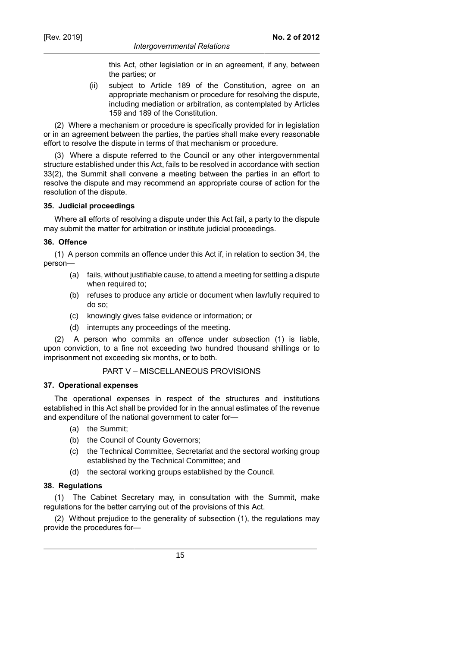this Act, other legislation or in an agreement, if any, between the parties; or

(ii) subject to Article 189 of the Constitution, agree on an appropriate mechanism or procedure for resolving the dispute, including mediation or arbitration, as contemplated by Articles 159 and 189 of the Constitution.

(2) Where a mechanism or procedure is specifically provided for in legislation or in an agreement between the parties, the parties shall make every reasonable effort to resolve the dispute in terms of that mechanism or procedure.

(3) Where a dispute referred to the Council or any other intergovernmental structure established under this Act, fails to be resolved in accordance with section 33(2), the Summit shall convene a meeting between the parties in an effort to resolve the dispute and may recommend an appropriate course of action for the resolution of the dispute.

#### **35. Judicial proceedings**

Where all efforts of resolving a dispute under this Act fail, a party to the dispute may submit the matter for arbitration or institute judicial proceedings.

### **36. Offence**

(1) A person commits an offence under this Act if, in relation to section 34, the person—

- (a) fails, without justifiable cause, to attend a meeting for settling a dispute when required to;
- (b) refuses to produce any article or document when lawfully required to do so;
- (c) knowingly gives false evidence or information; or
- (d) interrupts any proceedings of the meeting.

(2) A person who commits an offence under subsection (1) is liable, upon conviction, to a fine not exceeding two hundred thousand shillings or to imprisonment not exceeding six months, or to both.

### PART V – MISCELLANEOUS PROVISIONS

#### **37. Operational expenses**

The operational expenses in respect of the structures and institutions established in this Act shall be provided for in the annual estimates of the revenue and expenditure of the national government to cater for—

- (a) the Summit;
- (b) the Council of County Governors;
- (c) the Technical Committee, Secretariat and the sectoral working group established by the Technical Committee; and
- (d) the sectoral working groups established by the Council.

### **38. Regulations**

(1) The Cabinet Secretary may, in consultation with the Summit, make regulations for the better carrying out of the provisions of this Act.

(2) Without prejudice to the generality of subsection (1), the regulations may provide the procedures for—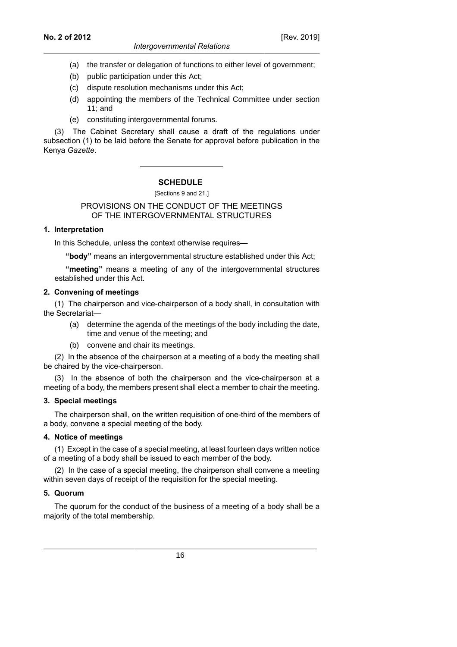#### *Intergovernmental Relations*

[Rev. 2019]

- (b) public participation under this Act;
- (c) dispute resolution mechanisms under this Act;
- (d) appointing the members of the Technical Committee under section 11; and
- (e) constituting intergovernmental forums.

(3) The Cabinet Secretary shall cause a draft of the regulations under subsection (1) to be laid before the Senate for approval before publication in the Kenya *Gazette*.

# **SCHEDULE**

[Sections 9 and 21.]

### PROVISIONS ON THE CONDUCT OF THE MEETINGS OF THE INTERGOVERNMENTAL STRUCTURES

### **1. Interpretation**

In this Schedule, unless the context otherwise requires—

**"body"** means an intergovernmental structure established under this Act;

**"meeting"** means a meeting of any of the intergovernmental structures established under this Act.

### **2. Convening of meetings**

(1) The chairperson and vice-chairperson of a body shall, in consultation with the Secretariat—

- (a) determine the agenda of the meetings of the body including the date, time and venue of the meeting; and
- (b) convene and chair its meetings.

(2) In the absence of the chairperson at a meeting of a body the meeting shall be chaired by the vice-chairperson.

(3) In the absence of both the chairperson and the vice-chairperson at a meeting of a body, the members present shall elect a member to chair the meeting.

### **3. Special meetings**

The chairperson shall, on the written requisition of one-third of the members of a body, convene a special meeting of the body.

### **4. Notice of meetings**

(1) Except in the case of a special meeting, at least fourteen days written notice of a meeting of a body shall be issued to each member of the body.

(2) In the case of a special meeting, the chairperson shall convene a meeting within seven days of receipt of the requisition for the special meeting.

### **5. Quorum**

The quorum for the conduct of the business of a meeting of a body shall be a majority of the total membership.